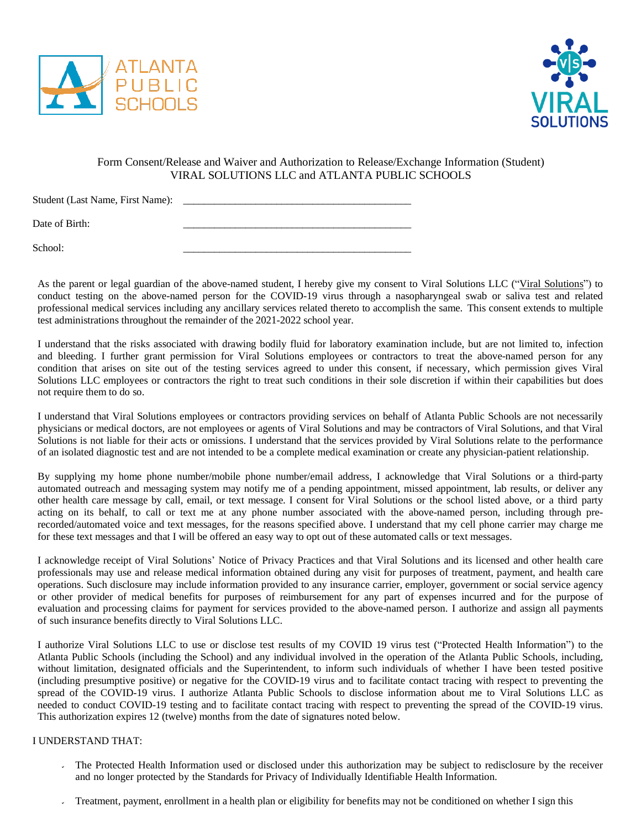



## Form Consent/Release and Waiver and Authorization to Release/Exchange Information (Student) VIRAL SOLUTIONS LLC and ATLANTA PUBLIC SCHOOLS

Student (Last Name, First Name): \_\_\_\_\_\_\_\_\_\_\_\_\_\_\_\_\_\_\_\_\_\_\_\_\_\_\_\_\_\_\_\_\_\_\_\_\_\_\_\_\_\_\_\_

Date of Birth:

 $School:$ 

As the parent or legal guardian of the above-named student, I hereby give my consent to Viral Solutions LLC ("Viral Solutions") to conduct testing on the above-named person for the COVID-19 virus through a nasopharyngeal swab or saliva test and related professional medical services including any ancillary services related thereto to accomplish the same. This consent extends to multiple test administrations throughout the remainder of the 2021-2022 school year.

I understand that the risks associated with drawing bodily fluid for laboratory examination include, but are not limited to, infection and bleeding. I further grant permission for Viral Solutions employees or contractors to treat the above-named person for any condition that arises on site out of the testing services agreed to under this consent, if necessary, which permission gives Viral Solutions LLC employees or contractors the right to treat such conditions in their sole discretion if within their capabilities but does not require them to do so.

I understand that Viral Solutions employees or contractors providing services on behalf of Atlanta Public Schools are not necessarily physicians or medical doctors, are not employees or agents of Viral Solutions and may be contractors of Viral Solutions, and that Viral Solutions is not liable for their acts or omissions. I understand that the services provided by Viral Solutions relate to the performance of an isolated diagnostic test and are not intended to be a complete medical examination or create any physician-patient relationship.

By supplying my home phone number/mobile phone number/email address, I acknowledge that Viral Solutions or a third-party automated outreach and messaging system may notify me of a pending appointment, missed appointment, lab results, or deliver any other health care message by call, email, or text message. I consent for Viral Solutions or the school listed above, or a third party acting on its behalf, to call or text me at any phone number associated with the above-named person, including through prerecorded/automated voice and text messages, for the reasons specified above. I understand that my cell phone carrier may charge me for these text messages and that I will be offered an easy way to opt out of these automated calls or text messages.

I acknowledge receipt of Viral Solutions' Notice of Privacy Practices and that Viral Solutions and its licensed and other health care professionals may use and release medical information obtained during any visit for purposes of treatment, payment, and health care operations. Such disclosure may include information provided to any insurance carrier, employer, government or social service agency or other provider of medical benefits for purposes of reimbursement for any part of expenses incurred and for the purpose of evaluation and processing claims for payment for services provided to the above-named person. I authorize and assign all payments of such insurance benefits directly to Viral Solutions LLC.

I authorize Viral Solutions LLC to use or disclose test results of my COVID 19 virus test ("Protected Health Information") to the Atlanta Public Schools (including the School) and any individual involved in the operation of the Atlanta Public Schools, including, without limitation, designated officials and the Superintendent, to inform such individuals of whether I have been tested positive (including presumptive positive) or negative for the COVID-19 virus and to facilitate contact tracing with respect to preventing the spread of the COVID-19 virus. I authorize Atlanta Public Schools to disclose information about me to Viral Solutions LLC as needed to conduct COVID-19 testing and to facilitate contact tracing with respect to preventing the spread of the COVID-19 virus. This authorization expires 12 (twelve) months from the date of signatures noted below.

## I UNDERSTAND THAT:

- The Protected Health Information used or disclosed under this authorization may be subject to redisclosure by the receiver and no longer protected by the Standards for Privacy of Individually Identifiable Health Information.
- Treatment, payment, enrollment in a health plan or eligibility for benefits may not be conditioned on whether I sign this  $\mathbf{v}^{\left(1\right)}$